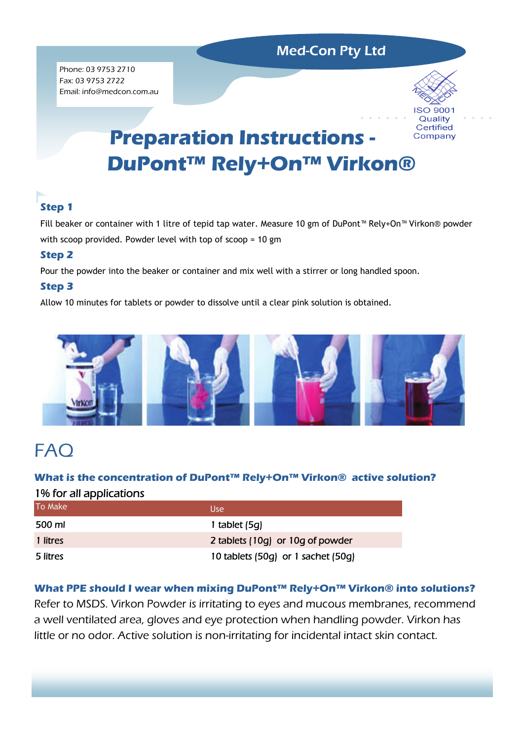## Med-Con Pty Ltd

Phone: 03 9753 2710 Fax: 03 9753 2722 Email: info@medcon.com.au



# **Preparation Instructions -** Company **DuPont™ Rely+On™ Virkon®**

# **Step 1**

Fill beaker or container with 1 litre of tepid tap water. Measure 10 gm of DuPont™ Rely+On™ Virkon® powder with scoop provided. Powder level with top of scoop = 10 gm

## **Step 2**

Pour the powder into the beaker or container and mix well with a stirrer or long handled spoon.

## **Step 3**

Allow 10 minutes for tablets or powder to dissolve until a clear pink solution is obtained.



# **FAQ**

## **What is the concentration of DuPont™ Rely+On™ Virkon® active solution?**  1% for all applications

| To Make  | <b>Use</b>                         |
|----------|------------------------------------|
| 500 ml   | 1 tablet $(5q)$                    |
| 1 litres | 2 tablets (10g) or 10g of powder   |
| 5 litres | 10 tablets (50g) or 1 sachet (50g) |

## **What PPE should I wear when mixing DuPont™ Rely+On™ Virkon® into solutions?**

Refer to MSDS. Virkon Powder is irritating to eyes and mucous membranes, recommend a well ventilated area, gloves and eye protection when handling powder. Virkon has little or no odor. Active solution is non-irritating for incidental intact skin contact.